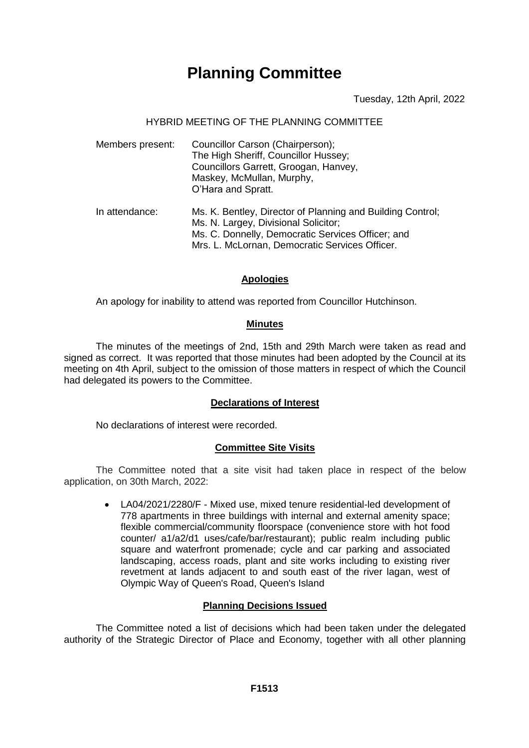# **Planning Committee**

Tuesday, 12th April, 2022

# HYBRID MEETING OF THE PLANNING COMMITTEE

| Members present: | Councillor Carson (Chairperson);<br>The High Sheriff, Councillor Hussey;<br>Councillors Garrett, Groogan, Hanvey,<br>Maskey, McMullan, Murphy,<br>O'Hara and Spratt.                                      |
|------------------|-----------------------------------------------------------------------------------------------------------------------------------------------------------------------------------------------------------|
| In attendance:   | Ms. K. Bentley, Director of Planning and Building Control;<br>Ms. N. Largey, Divisional Solicitor;<br>Ms. C. Donnelly, Democratic Services Officer; and<br>Mrs. L. McLornan, Democratic Services Officer. |

# **Apologies**

An apology for inability to attend was reported from Councillor Hutchinson.

#### **Minutes**

The minutes of the meetings of 2nd, 15th and 29th March were taken as read and signed as correct. It was reported that those minutes had been adopted by the Council at its meeting on 4th April, subject to the omission of those matters in respect of which the Council had delegated its powers to the Committee.

# **Declarations of Interest**

No declarations of interest were recorded.

# **Committee Site Visits**

The Committee noted that a site visit had taken place in respect of the below application, on 30th March, 2022:

> LA04/2021/2280/F - Mixed use, mixed tenure residential-led development of 778 apartments in three buildings with internal and external amenity space; flexible commercial/community floorspace (convenience store with hot food counter/ a1/a2/d1 uses/cafe/bar/restaurant); public realm including public square and waterfront promenade; cycle and car parking and associated landscaping, access roads, plant and site works including to existing river revetment at lands adjacent to and south east of the river lagan, west of Olympic Way of Queen's Road, Queen's Island

# **Planning Decisions Issued**

The Committee noted a list of decisions which had been taken under the delegated authority of the Strategic Director of Place and Economy, together with all other planning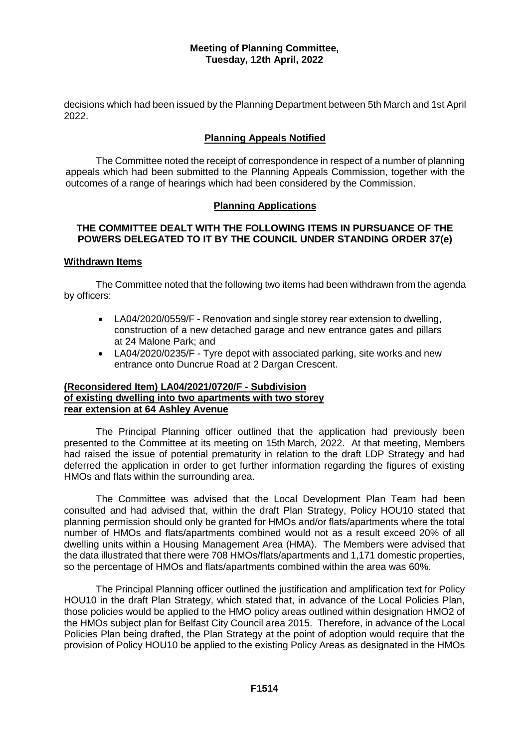decisions which had been issued by the Planning Department between 5th March and 1st April 2022.

# **Planning Appeals Notified**

The Committee noted the receipt of correspondence in respect of a number of planning appeals which had been submitted to the Planning Appeals Commission, together with the outcomes of a range of hearings which had been considered by the Commission.

# **Planning Applications**

# **THE COMMITTEE DEALT WITH THE FOLLOWING ITEMS IN PURSUANCE OF THE POWERS DELEGATED TO IT BY THE COUNCIL UNDER STANDING ORDER 37(e)**

#### **Withdrawn Items**

The Committee noted that the following two items had been withdrawn from the agenda by officers:

- LA04/2020/0559/F Renovation and single storey rear extension to dwelling, construction of a new detached garage and new entrance gates and pillars at 24 Malone Park; and
- LA04/2020/0235/F Tyre depot with associated parking, site works and new entrance onto Duncrue Road at 2 Dargan Crescent.

# **(Reconsidered Item) LA04/2021/0720/F - Subdivision of existing dwelling into two apartments with two storey rear extension at 64 Ashley Avenue**

The Principal Planning officer outlined that the application had previously been presented to the Committee at its meeting on 15th March, 2022. At that meeting, Members had raised the issue of potential prematurity in relation to the draft LDP Strategy and had deferred the application in order to get further information regarding the figures of existing HMOs and flats within the surrounding area.

The Committee was advised that the Local Development Plan Team had been consulted and had advised that, within the draft Plan Strategy, Policy HOU10 stated that planning permission should only be granted for HMOs and/or flats/apartments where the total number of HMOs and flats/apartments combined would not as a result exceed 20% of all dwelling units within a Housing Management Area (HMA). The Members were advised that the data illustrated that there were 708 HMOs/flats/apartments and 1,171 domestic properties, so the percentage of HMOs and flats/apartments combined within the area was 60%.

The Principal Planning officer outlined the justification and amplification text for Policy HOU10 in the draft Plan Strategy, which stated that, in advance of the Local Policies Plan, those policies would be applied to the HMO policy areas outlined within designation HMO2 of the HMOs subject plan for Belfast City Council area 2015. Therefore, in advance of the Local Policies Plan being drafted, the Plan Strategy at the point of adoption would require that the provision of Policy HOU10 be applied to the existing Policy Areas as designated in the HMOs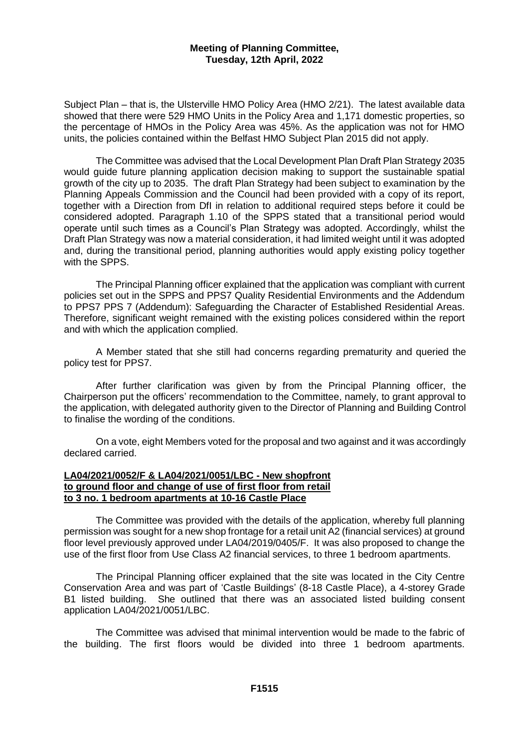Subject Plan – that is, the Ulsterville HMO Policy Area (HMO 2/21). The latest available data showed that there were 529 HMO Units in the Policy Area and 1,171 domestic properties, so the percentage of HMOs in the Policy Area was 45%. As the application was not for HMO units, the policies contained within the Belfast HMO Subject Plan 2015 did not apply.

The Committee was advised that the Local Development Plan Draft Plan Strategy 2035 would guide future planning application decision making to support the sustainable spatial growth of the city up to 2035. The draft Plan Strategy had been subject to examination by the Planning Appeals Commission and the Council had been provided with a copy of its report, together with a Direction from DfI in relation to additional required steps before it could be considered adopted. Paragraph 1.10 of the SPPS stated that a transitional period would operate until such times as a Council's Plan Strategy was adopted. Accordingly, whilst the Draft Plan Strategy was now a material consideration, it had limited weight until it was adopted and, during the transitional period, planning authorities would apply existing policy together with the SPPS.

The Principal Planning officer explained that the application was compliant with current policies set out in the SPPS and PPS7 Quality Residential Environments and the Addendum to PPS7 PPS 7 (Addendum): Safeguarding the Character of Established Residential Areas. Therefore, significant weight remained with the existing polices considered within the report and with which the application complied.

A Member stated that she still had concerns regarding prematurity and queried the policy test for PPS7.

After further clarification was given by from the Principal Planning officer, the Chairperson put the officers' recommendation to the Committee, namely, to grant approval to the application, with delegated authority given to the Director of Planning and Building Control to finalise the wording of the conditions.

On a vote, eight Members voted for the proposal and two against and it was accordingly declared carried.

# **LA04/2021/0052/F & LA04/2021/0051/LBC - New shopfront to ground floor and change of use of first floor from retail to 3 no. 1 bedroom apartments at 10-16 Castle Place**

The Committee was provided with the details of the application, whereby full planning permission was sought for a new shop frontage for a retail unit A2 (financial services) at ground floor level previously approved under LA04/2019/0405/F. It was also proposed to change the use of the first floor from Use Class A2 financial services, to three 1 bedroom apartments.

The Principal Planning officer explained that the site was located in the City Centre Conservation Area and was part of 'Castle Buildings' (8-18 Castle Place), a 4-storey Grade B1 listed building. She outlined that there was an associated listed building consent application LA04/2021/0051/LBC.

The Committee was advised that minimal intervention would be made to the fabric of the building. The first floors would be divided into three 1 bedroom apartments.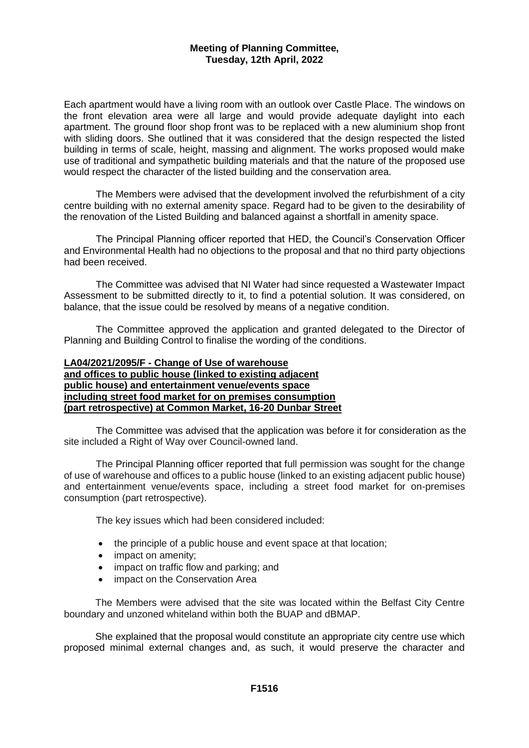Each apartment would have a living room with an outlook over Castle Place. The windows on the front elevation area were all large and would provide adequate daylight into each apartment. The ground floor shop front was to be replaced with a new aluminium shop front with sliding doors. She outlined that it was considered that the design respected the listed building in terms of scale, height, massing and alignment. The works proposed would make use of traditional and sympathetic building materials and that the nature of the proposed use would respect the character of the listed building and the conservation area.

The Members were advised that the development involved the refurbishment of a city centre building with no external amenity space. Regard had to be given to the desirability of the renovation of the Listed Building and balanced against a shortfall in amenity space.

The Principal Planning officer reported that HED, the Council's Conservation Officer and Environmental Health had no objections to the proposal and that no third party objections had been received.

The Committee was advised that NI Water had since requested a Wastewater Impact Assessment to be submitted directly to it, to find a potential solution. It was considered, on balance, that the issue could be resolved by means of a negative condition.

The Committee approved the application and granted delegated to the Director of Planning and Building Control to finalise the wording of the conditions.

# **LA04/2021/2095/F - Change of Use of warehouse and offices to public house (linked to existing adjacent public house) and entertainment venue/events space including street food market for on premises consumption (part retrospective) at Common Market, 16-20 Dunbar Street**

The Committee was advised that the application was before it for consideration as the site included a Right of Way over Council-owned land.

The Principal Planning officer reported that full permission was sought for the change of use of warehouse and offices to a public house (linked to an existing adjacent public house) and entertainment venue/events space, including a street food market for on-premises consumption (part retrospective).

The key issues which had been considered included:

- the principle of a public house and event space at that location;
- impact on amenity;
- impact on traffic flow and parking; and
- impact on the Conservation Area

The Members were advised that the site was located within the Belfast City Centre boundary and unzoned whiteland within both the BUAP and dBMAP.

She explained that the proposal would constitute an appropriate city centre use which proposed minimal external changes and, as such, it would preserve the character and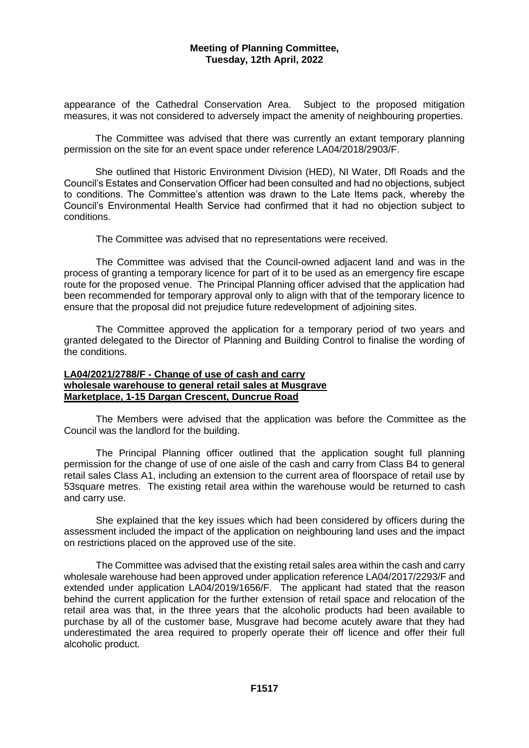appearance of the Cathedral Conservation Area. Subject to the proposed mitigation measures, it was not considered to adversely impact the amenity of neighbouring properties.

The Committee was advised that there was currently an extant temporary planning permission on the site for an event space under reference LA04/2018/2903/F.

She outlined that Historic Environment Division (HED), NI Water, Dfl Roads and the Council's Estates and Conservation Officer had been consulted and had no objections, subject to conditions. The Committee's attention was drawn to the Late Items pack, whereby the Council's Environmental Health Service had confirmed that it had no objection subject to conditions.

The Committee was advised that no representations were received.

The Committee was advised that the Council-owned adjacent land and was in the process of granting a temporary licence for part of it to be used as an emergency fire escape route for the proposed venue. The Principal Planning officer advised that the application had been recommended for temporary approval only to align with that of the temporary licence to ensure that the proposal did not prejudice future redevelopment of adjoining sites.

The Committee approved the application for a temporary period of two years and granted delegated to the Director of Planning and Building Control to finalise the wording of the conditions.

# **LA04/2021/2788/F - Change of use of cash and carry wholesale warehouse to general retail sales at Musgrave Marketplace, 1-15 Dargan Crescent, Duncrue Road**

The Members were advised that the application was before the Committee as the Council was the landlord for the building.

The Principal Planning officer outlined that the application sought full planning permission for the change of use of one aisle of the cash and carry from Class B4 to general retail sales Class A1, including an extension to the current area of floorspace of retail use by 53square metres. The existing retail area within the warehouse would be returned to cash and carry use.

She explained that the key issues which had been considered by officers during the assessment included the impact of the application on neighbouring land uses and the impact on restrictions placed on the approved use of the site.

The Committee was advised that the existing retail sales area within the cash and carry wholesale warehouse had been approved under application reference LA04/2017/2293/F and extended under application LA04/2019/1656/F. The applicant had stated that the reason behind the current application for the further extension of retail space and relocation of the retail area was that, in the three years that the alcoholic products had been available to purchase by all of the customer base, Musgrave had become acutely aware that they had underestimated the area required to properly operate their off licence and offer their full alcoholic product.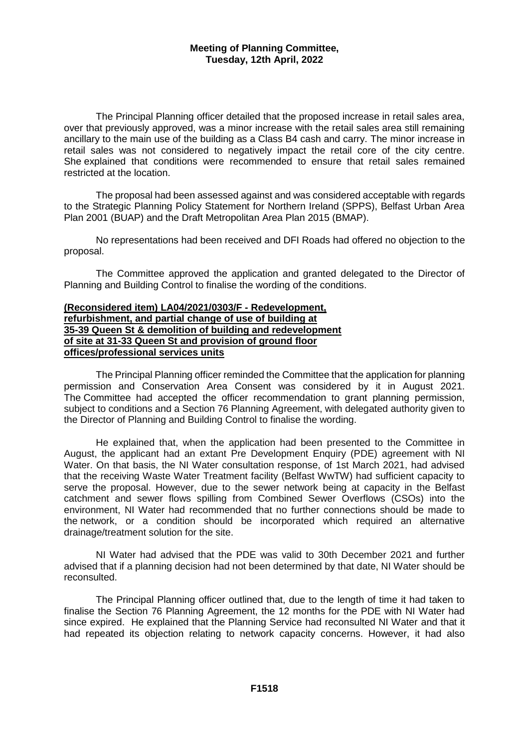The Principal Planning officer detailed that the proposed increase in retail sales area, over that previously approved, was a minor increase with the retail sales area still remaining ancillary to the main use of the building as a Class B4 cash and carry. The minor increase in retail sales was not considered to negatively impact the retail core of the city centre. She explained that conditions were recommended to ensure that retail sales remained restricted at the location.

The proposal had been assessed against and was considered acceptable with regards to the Strategic Planning Policy Statement for Northern Ireland (SPPS), Belfast Urban Area Plan 2001 (BUAP) and the Draft Metropolitan Area Plan 2015 (BMAP).

No representations had been received and DFI Roads had offered no objection to the proposal.

The Committee approved the application and granted delegated to the Director of Planning and Building Control to finalise the wording of the conditions.

#### **(Reconsidered item) LA04/2021/0303/F - Redevelopment, refurbishment, and partial change of use of building at 35-39 Queen St & demolition of building and redevelopment of site at 31-33 Queen St and provision of ground floor offices/professional services units**

The Principal Planning officer reminded the Committee that the application for planning permission and Conservation Area Consent was considered by it in August 2021. The Committee had accepted the officer recommendation to grant planning permission, subject to conditions and a Section 76 Planning Agreement, with delegated authority given to the Director of Planning and Building Control to finalise the wording.

He explained that, when the application had been presented to the Committee in August, the applicant had an extant Pre Development Enquiry (PDE) agreement with NI Water. On that basis, the NI Water consultation response, of 1st March 2021, had advised that the receiving Waste Water Treatment facility (Belfast WwTW) had sufficient capacity to serve the proposal. However, due to the sewer network being at capacity in the Belfast catchment and sewer flows spilling from Combined Sewer Overflows (CSOs) into the environment, NI Water had recommended that no further connections should be made to the network, or a condition should be incorporated which required an alternative drainage/treatment solution for the site.

NI Water had advised that the PDE was valid to 30th December 2021 and further advised that if a planning decision had not been determined by that date, NI Water should be reconsulted.

The Principal Planning officer outlined that, due to the length of time it had taken to finalise the Section 76 Planning Agreement, the 12 months for the PDE with NI Water had since expired. He explained that the Planning Service had reconsulted NI Water and that it had repeated its objection relating to network capacity concerns. However, it had also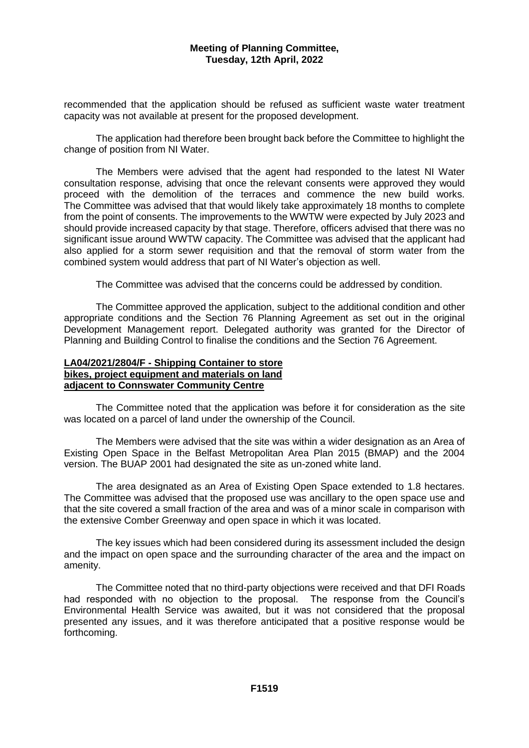recommended that the application should be refused as sufficient waste water treatment capacity was not available at present for the proposed development.

The application had therefore been brought back before the Committee to highlight the change of position from NI Water.

The Members were advised that the agent had responded to the latest NI Water consultation response, advising that once the relevant consents were approved they would proceed with the demolition of the terraces and commence the new build works. The Committee was advised that that would likely take approximately 18 months to complete from the point of consents. The improvements to the WWTW were expected by July 2023 and should provide increased capacity by that stage. Therefore, officers advised that there was no significant issue around WWTW capacity. The Committee was advised that the applicant had also applied for a storm sewer requisition and that the removal of storm water from the combined system would address that part of NI Water's objection as well.

The Committee was advised that the concerns could be addressed by condition.

The Committee approved the application, subject to the additional condition and other appropriate conditions and the Section 76 Planning Agreement as set out in the original Development Management report. Delegated authority was granted for the Director of Planning and Building Control to finalise the conditions and the Section 76 Agreement.

#### **LA04/2021/2804/F - Shipping Container to store bikes, project equipment and materials on land adjacent to Connswater Community Centre**

The Committee noted that the application was before it for consideration as the site was located on a parcel of land under the ownership of the Council.

The Members were advised that the site was within a wider designation as an Area of Existing Open Space in the Belfast Metropolitan Area Plan 2015 (BMAP) and the 2004 version. The BUAP 2001 had designated the site as un-zoned white land.

The area designated as an Area of Existing Open Space extended to 1.8 hectares. The Committee was advised that the proposed use was ancillary to the open space use and that the site covered a small fraction of the area and was of a minor scale in comparison with the extensive Comber Greenway and open space in which it was located.

The key issues which had been considered during its assessment included the design and the impact on open space and the surrounding character of the area and the impact on amenity.

The Committee noted that no third-party objections were received and that DFI Roads had responded with no objection to the proposal. The response from the Council's Environmental Health Service was awaited, but it was not considered that the proposal presented any issues, and it was therefore anticipated that a positive response would be forthcoming.